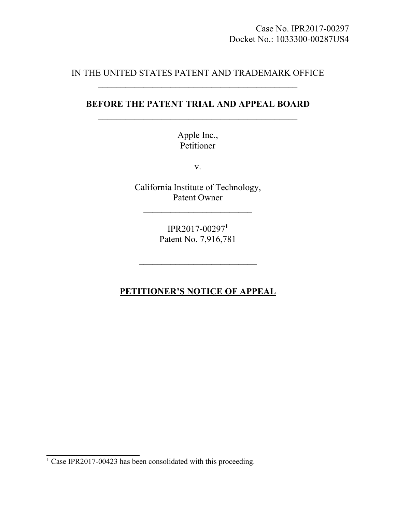## IN THE UNITED STATES PATENT AND TRADEMARK OFFICE

# **BEFORE THE PATENT TRIAL AND APPEAL BOARD**   $\mathcal{L}_\text{max}$  and  $\mathcal{L}_\text{max}$  and  $\mathcal{L}_\text{max}$  and  $\mathcal{L}_\text{max}$

Apple Inc., Petitioner

v.

California Institute of Technology, Patent Owner  $\mathcal{L}_\text{max}$  , where  $\mathcal{L}_\text{max}$  , we have the set of  $\mathcal{L}_\text{max}$ 

> IPR2017-00297**<sup>1</sup>** Patent No. 7,916,781

# **PETITIONER'S NOTICE OF APPEAL**

<sup>&</sup>lt;sup>1</sup> Case IPR2017-00423 has been consolidated with this proceeding.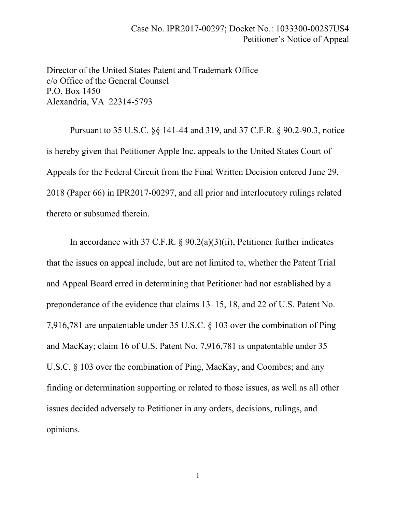Director of the United States Patent and Trademark Office c/o Office of the General Counsel P.O. Box 1450 Alexandria, VA 22314-5793

 Pursuant to 35 U.S.C. §§ 141-44 and 319, and 37 C.F.R. § 90.2-90.3, notice is hereby given that Petitioner Apple Inc. appeals to the United States Court of Appeals for the Federal Circuit from the Final Written Decision entered June 29, 2018 (Paper 66) in IPR2017-00297, and all prior and interlocutory rulings related thereto or subsumed therein.

 In accordance with 37 C.F.R. § 90.2(a)(3)(ii), Petitioner further indicates that the issues on appeal include, but are not limited to, whether the Patent Trial and Appeal Board erred in determining that Petitioner had not established by a preponderance of the evidence that claims 13–15, 18, and 22 of U.S. Patent No. 7,916,781 are unpatentable under 35 U.S.C. § 103 over the combination of Ping and MacKay; claim 16 of U.S. Patent No. 7,916,781 is unpatentable under 35 U.S.C. § 103 over the combination of Ping, MacKay, and Coombes; and any finding or determination supporting or related to those issues, as well as all other issues decided adversely to Petitioner in any orders, decisions, rulings, and opinions.

1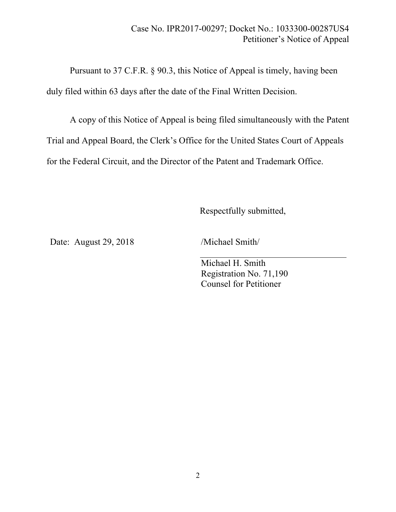Pursuant to 37 C.F.R. § 90.3, this Notice of Appeal is timely, having been duly filed within 63 days after the date of the Final Written Decision.

A copy of this Notice of Appeal is being filed simultaneously with the Patent Trial and Appeal Board, the Clerk's Office for the United States Court of Appeals for the Federal Circuit, and the Director of the Patent and Trademark Office.

Respectfully submitted,

Date: August 29, 2018 /Michael Smith

Michael H. Smith Registration No. 71,190 Counsel for Petitioner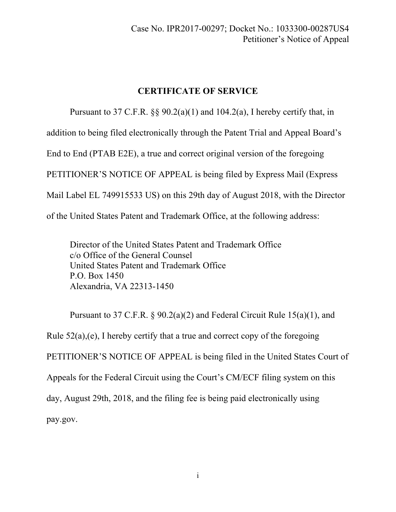### **CERTIFICATE OF SERVICE**

Pursuant to 37 C.F.R.  $\S$  90.2(a)(1) and 104.2(a), I hereby certify that, in addition to being filed electronically through the Patent Trial and Appeal Board's End to End (PTAB E2E), a true and correct original version of the foregoing PETITIONER'S NOTICE OF APPEAL is being filed by Express Mail (Express Mail Label EL 749915533 US) on this 29th day of August 2018, with the Director of the United States Patent and Trademark Office, at the following address:

Director of the United States Patent and Trademark Office c/o Office of the General Counsel United States Patent and Trademark Office P.O. Box 1450 Alexandria, VA 22313-1450

Pursuant to 37 C.F.R. § 90.2(a)(2) and Federal Circuit Rule 15(a)(1), and Rule  $52(a)$ , (e), I hereby certify that a true and correct copy of the foregoing PETITIONER'S NOTICE OF APPEAL is being filed in the United States Court of Appeals for the Federal Circuit using the Court's CM/ECF filing system on this day, August 29th, 2018, and the filing fee is being paid electronically using pay.gov.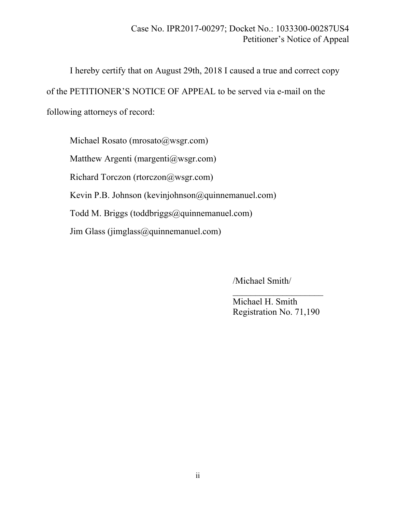I hereby certify that on August 29th, 2018 I caused a true and correct copy of the PETITIONER'S NOTICE OF APPEAL to be served via e-mail on the following attorneys of record:

Michael Rosato (mrosato@wsgr.com) Matthew Argenti (margenti@wsgr.com) Richard Torczon (rtorczon@wsgr.com) Kevin P.B. Johnson (kevinjohnson@quinnemanuel.com) Todd M. Briggs (toddbriggs@quinnemanuel.com)  $\text{Jim Glass}$  (jimglass  $\textcircled{a}$  quinnemanuel.com)

/Michael Smith/

 Michael H. Smith Registration No. 71,190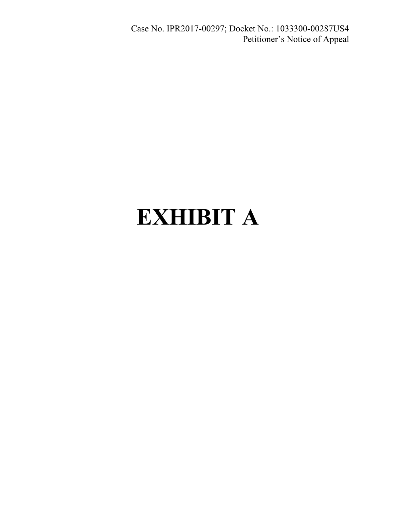Case No. IPR2017-00297; Docket No.: 1033300-00287US4 Petitioner's Notice of Appeal

# **EXHIBIT A**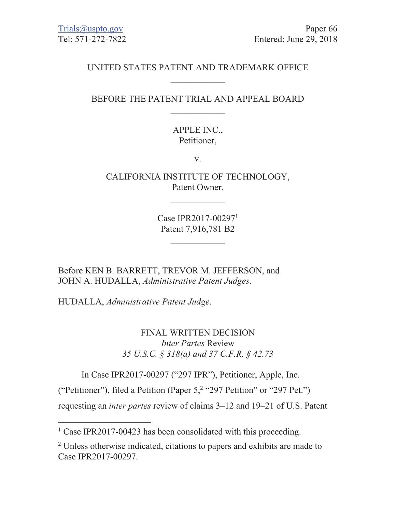# UNITED STATES PATENT AND TRADEMARK OFFICE

## BEFORE THE PATENT TRIAL AND APPEAL BOARD

# **APPLE INC.,** Petitioner,

 $V_{\star}$ 

CALIFORNIA INSTITUTE OF TECHNOLOGY, Patent Owner.

> Case IPR2017-00297<sup>1</sup> Patent 7,916,781 B2

Before KEN B. BARRETT, TREVOR M. JEFFERSON, and JOHN A. HUDALLA, Administrative Patent Judges.

HUDALLA, Administrative Patent Judge.

FINAL WRITTEN DECISION *Inter Partes Review* 35 U.S.C. § 318(a) and 37 C.F.R. § 42.73

In Case IPR2017-00297 ("297 IPR"), Petitioner, Apple, Inc.

("Petitioner"), filed a Petition (Paper 5,<sup>2</sup> "297 Petition" or "297 Pet.")

requesting an *inter partes* review of claims 3–12 and 19–21 of U.S. Patent

 $1$  Case IPR2017-00423 has been consolidated with this proceeding.

<sup>&</sup>lt;sup>2</sup> Unless otherwise indicated, citations to papers and exhibits are made to Case IPR 2017-00297.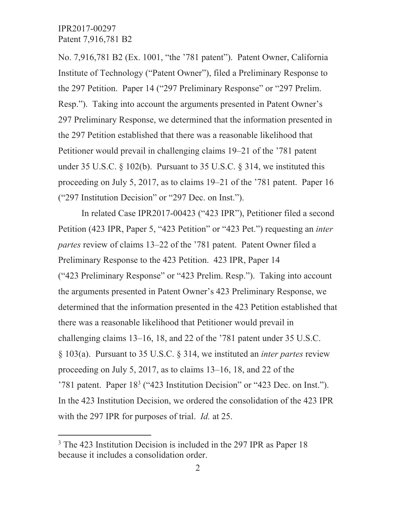No. 7,916,781 B2 (Ex. 1001, "the '781 patent"). Patent Owner, California Institute of Technology ("Patent Owner"), filed a Preliminary Response to the 297 Petition. Paper 14 ("297 Preliminary Response" or "297 Prelim. Resp."). Taking into account the arguments presented in Patent Owner's 297 Preliminary Response, we determined that the information presented in the 297 Petition established that there was a reasonable likelihood that Petitioner would prevail in challenging claims 19–21 of the '781 patent under 35 U.S.C.  $\S$  102(b). Pursuant to 35 U.S.C.  $\S$  314, we instituted this proceeding on July 5, 2017, as to claims 19–21 of the '781 patent. Paper 16 ("297 Institution Decision" or "297 Dec. on Inst.").

In related Case IPR2017-00423 ("423 IPR"), Petitioner filed a second Petition (423 IPR, Paper 5, "423 Petition" or "423 Pet.") requesting an *inter partes* review of claims 13–22 of the '781 patent. Patent Owner filed a Preliminary Response to the 423 Petition. 423 IPR, Paper 14 ("423 Preliminary Response" or "423 Prelim. Resp."). Taking into account the arguments presented in Patent Owner's 423 Preliminary Response, we determined that the information presented in the 423 Petition established that there was a reasonable likelihood that Petitioner would prevail in challenging claims 13–16, 18, and 22 of the '781 patent under 35 U.S.C. § 103(a). Pursuant to 35 U.S.C. § 314, we instituted an *inter partes* review proceeding on July 5, 2017, as to claims  $13-16$ , 18, and 22 of the '781 patent. Paper  $18<sup>3</sup>$  ("423 Institution Decision" or "423 Dec. on Inst."). In the 423 Institution Decision, we ordered the consolidation of the 423 IPR with the 297 IPR for purposes of trial. *Id.* at 25.

<sup>&</sup>lt;sup>3</sup> The 423 Institution Decision is included in the 297 IPR as Paper 18 because it includes a consolidation order.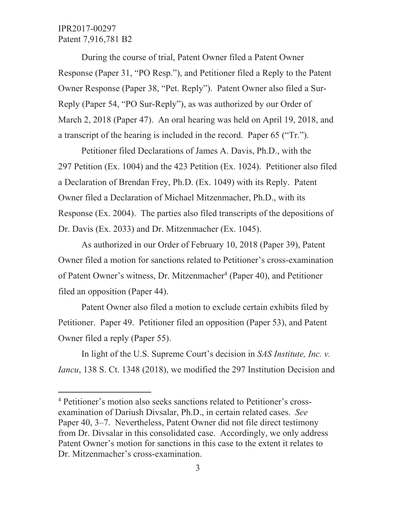During the course of trial, Patent Owner filed a Patent Owner Response (Paper 31, "PO Resp."), and Petitioner filed a Reply to the Patent Owner Response (Paper 38, "Pet. Reply"). Patent Owner also filed a Sur-Reply (Paper 54, "PO Sur-Reply"), as was authorized by our Order of March 2, 2018 (Paper 47). An oral hearing was held on April 19, 2018, and a transcript of the hearing is included in the record. Paper 65 ("Tr.").

Petitioner filed Declarations of James A. Davis, Ph.D., with the 297 Petition (Ex. 1004) and the 423 Petition (Ex. 1024). Petitioner also filed a Declaration of Brendan Frey, Ph.D. (Ex. 1049) with its Reply. Patent Owner filed a Declaration of Michael Mitzenmacher, Ph.D., with its Response (Ex. 2004). The parties also filed transcripts of the depositions of Dr. Davis (Ex. 2033) and Dr. Mitzenmacher (Ex. 1045).

As authorized in our Order of February 10, 2018 (Paper 39), Patent Owner filed a motion for sanctions related to Petitioner's cross-examination of Patent Owner's witness, Dr. Mitzenmacher<sup>4</sup> (Paper 40), and Petitioner filed an opposition (Paper 44).

Patent Owner also filed a motion to exclude certain exhibits filed by Petitioner. Paper 49. Petitioner filed an opposition (Paper 53), and Patent Owner filed a reply (Paper 55).

In light of the U.S. Supreme Court's decision in SAS Institute, Inc. v. *Iancu*, 138 S. Ct. 1348 (2018), we modified the 297 Institution Decision and

<sup>&</sup>lt;sup>4</sup> Petitioner's motion also seeks sanctions related to Petitioner's crossexamination of Dariush Divsalar, Ph.D., in certain related cases. See Paper 40, 3–7. Nevertheless, Patent Owner did not file direct testimony from Dr. Divsalar in this consolidated case. Accordingly, we only address Patent Owner's motion for sanctions in this case to the extent it relates to Dr. Mitzenmacher's cross-examination.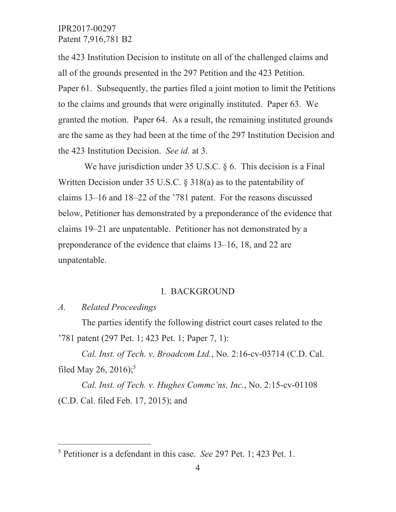the 423 Institution Decision to institute on all of the challenged claims and all of the grounds presented in the 297 Petition and the 423 Petition. Paper 61. Subsequently, the parties filed a joint motion to limit the Petitions to the claims and grounds that were originally instituted. Paper 63. We granted the motion. Paper 64. As a result, the remaining instituted grounds are the same as they had been at the time of the 297 Institution Decision and the 423 Institution Decision. See id. at 3.

We have jurisdiction under 35 U.S.C.  $\S 6$ . This decision is a Final Written Decision under 35 U.S.C.  $\S$  318(a) as to the patentability of claims 13–16 and 18–22 of the '781 patent. For the reasons discussed below, Petitioner has demonstrated by a preponderance of the evidence that claims 19–21 are unpatentable. Petitioner has not demonstrated by a preponderance of the evidence that claims 13–16, 18, and 22 are unpatentable.

### **I. BACKGROUND**

 $\mathcal{A}$ . **Related Proceedings** 

The parties identify the following district court cases related to the '781 patent (297 Pet. 1; 423 Pet. 1; Paper 7, 1):

Cal. Inst. of Tech. v. Broadcom Ltd., No. 2:16-cv-03714 (C.D. Cal. filed May 26, 2016);<sup>5</sup>

Cal. Inst. of Tech. v. Hughes Commc'ns, Inc., No. 2:15-cv-01108 (C.D. Cal. filed Feb. 17, 2015); and

<sup>&</sup>lt;sup>5</sup> Petitioner is a defendant in this case. *See* 297 Pet. 1; 423 Pet. 1.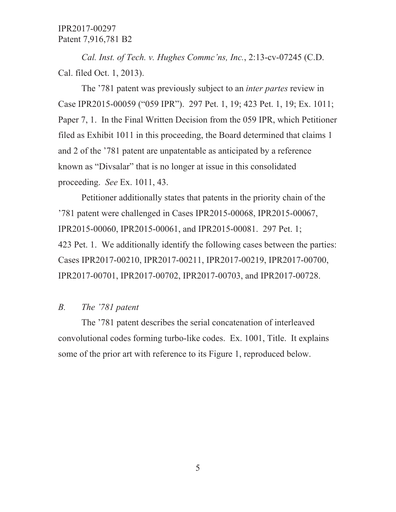Cal. Inst. of Tech. v. Hughes Commc'ns, Inc., 2:13-cv-07245 (C.D. Cal. filed Oct. 1, 2013).

The '781 patent was previously subject to an *inter partes* review in Case IPR2015-00059 ("059 IPR"). 297 Pet. 1, 19; 423 Pet. 1, 19; Ex. 1011; Paper 7, 1. In the Final Written Decision from the 059 IPR, which Petitioner filed as Exhibit 1011 in this proceeding, the Board determined that claims 1 and 2 of the '781 patent are unpatentable as anticipated by a reference known as "Divsalar" that is no longer at issue in this consolidated proceeding. See Ex. 1011, 43.

Petitioner additionally states that patents in the priority chain of the '781 patent were challenged in Cases IPR2015-00068, IPR2015-00067, IPR2015-00060, IPR2015-00061, and IPR2015-00081. 297 Pet. 1; 423 Pet. 1. We additionally identify the following cases between the parties: Cases IPR2017-00210, IPR2017-00211, IPR2017-00219, IPR2017-00700, IPR2017-00701, IPR2017-00702, IPR2017-00703, and IPR2017-00728.

#### $B_{\cdot}$ The '781 patent

The '781 patent describes the serial concatenation of interleaved convolutional codes forming turbo-like codes. Ex. 1001, Title. It explains some of the prior art with reference to its Figure 1, reproduced below.

 $\mathfrak{H}% _{C}=\mathfrak{H}_{C}$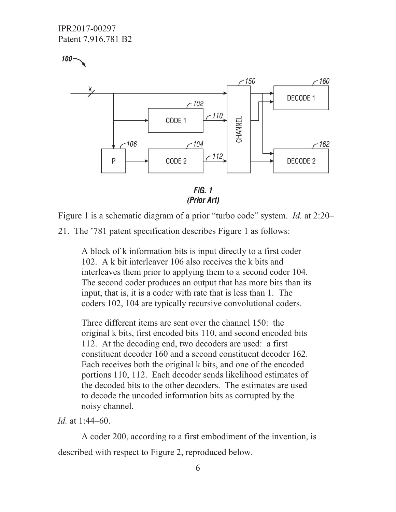IPR2017-00297 Patent 7,916,781 B2

 $100 -$ 

 $-150$ -160 DECODE 1  $~102$  $-110$ CODE 1 CHANNEL  $-106$  $7104$  $-162$  $-112$ CODE<sub>2</sub> DECODE 2 P

 $FIG. 1$ (Prior Art)

Figure 1 is a schematic diagram of a prior "turbo code" system. *Id.* at 2:20-

21. The '781 patent specification describes Figure 1 as follows:

A block of k information bits is input directly to a first coder 102. A k bit interleaver 106 also receives the k bits and interleaves them prior to applying them to a second coder 104. The second coder produces an output that has more bits than its input, that is, it is a coder with rate that is less than 1. The coders 102, 104 are typically recursive convolutional coders.

Three different items are sent over the channel 150: the original k bits, first encoded bits 110, and second encoded bits 112. At the decoding end, two decoders are used: a first constituent decoder 160 and a second constituent decoder 162. Each receives both the original k bits, and one of the encoded portions 110, 112. Each decoder sends likelihood estimates of the decoded bits to the other decoders. The estimates are used to decode the uncoded information bits as corrupted by the noisy channel.

 $Id$  at 1:44-60.

A coder 200, according to a first embodiment of the invention, is described with respect to Figure 2, reproduced below.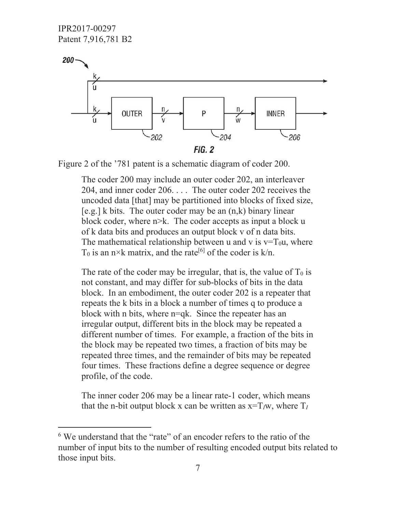IPR2017-00297 Patent 7,916,781 B2



Figure 2 of the '781 patent is a schematic diagram of coder 200.

The coder 200 may include an outer coder 202, an interleaver 204, and inner coder  $206$ .... The outer coder 202 receives the uncoded data [that] may be partitioned into blocks of fixed size,  $[e.g.]$  k bits. The outer coder may be an  $(n,k)$  binary linear block coder, where  $n \ge k$ . The coder accepts as input a block u of k data bits and produces an output block v of n data bits. The mathematical relationship between u and v is  $v=T_0u$ , where  $T_0$  is an n×k matrix, and the rate<sup>[6]</sup> of the coder is k/n.

The rate of the coder may be irregular, that is, the value of  $T_0$  is not constant, and may differ for sub-blocks of bits in the data block. In an embodiment, the outer coder 202 is a repeater that repeats the k bits in a block a number of times q to produce a block with n bits, where  $n=qk$ . Since the repeater has an irregular output, different bits in the block may be repeated a different number of times. For example, a fraction of the bits in the block may be repeated two times, a fraction of bits may be repeated three times, and the remainder of bits may be repeated four times. These fractions define a degree sequence or degree profile, of the code.

The inner coder 206 may be a linear rate-1 coder, which means that the n-bit output block x can be written as  $x=T_{\ell}w$ , where  $T_{\ell}$ 

<sup>&</sup>lt;sup>6</sup> We understand that the "rate" of an encoder refers to the ratio of the number of input bits to the number of resulting encoded output bits related to those input bits.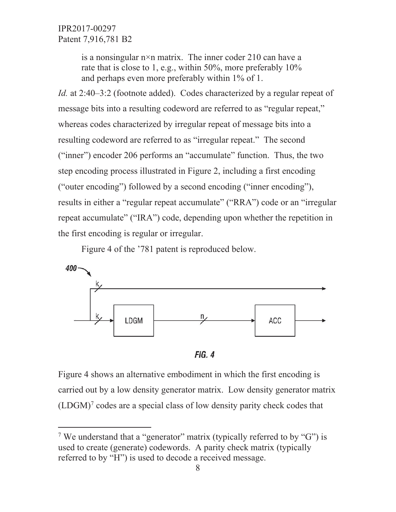> is a nonsingular  $n \times n$  matrix. The inner coder 210 can have a rate that is close to 1, e.g., within 50%, more preferably 10% and perhaps even more preferably within 1% of 1.

*Id.* at 2:40–3:2 (footnote added). Codes characterized by a regular repeat of message bits into a resulting codeword are referred to as "regular repeat," whereas codes characterized by irregular repeat of message bits into a resulting codeword are referred to as "irregular repeat." The second ("inner") encoder 206 performs an "accumulate" function. Thus, the two step encoding process illustrated in Figure 2, including a first encoding ("outer encoding") followed by a second encoding ("inner encoding"), results in either a "regular repeat accumulate" ("RRA") code or an "irregular repeat accumulate" ("IRA") code, depending upon whether the repetition in the first encoding is regular or irregular.

Figure 4 of the '781 patent is reproduced below.



**FIG. 4** 

Figure 4 shows an alternative embodiment in which the first encoding is carried out by a low density generator matrix. Low density generator matrix  $(LDGM)<sup>7</sup>$  codes are a special class of low density parity check codes that

<sup>&</sup>lt;sup>7</sup> We understand that a "generator" matrix (typically referred to by "G") is used to create (generate) codewords. A parity check matrix (typically referred to by "H") is used to decode a received message.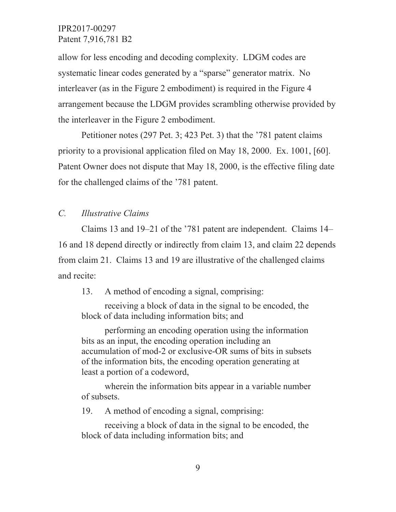allow for less encoding and decoding complexity. LDGM codes are systematic linear codes generated by a "sparse" generator matrix. No interleaver (as in the Figure 2 embodiment) is required in the Figure 4 arrangement because the LDGM provides scrambling otherwise provided by the interleaver in the Figure 2 embodiment.

Petitioner notes (297 Pet. 3; 423 Pet. 3) that the '781 patent claims priority to a provisional application filed on May 18, 2000. Ex. 1001, [60]. Patent Owner does not dispute that May 18, 2000, is the effective filing date for the challenged claims of the '781 patent.

#### $C_{\cdot}$ **Illustrative Claims**

Claims 13 and 19–21 of the '781 patent are independent. Claims 14– 16 and 18 depend directly or indirectly from claim 13, and claim 22 depends from claim 21. Claims 13 and 19 are illustrative of the challenged claims and recite:

13. A method of encoding a signal, comprising:

receiving a block of data in the signal to be encoded, the block of data including information bits; and

performing an encoding operation using the information bits as an input, the encoding operation including an accumulation of mod-2 or exclusive-OR sums of bits in subsets of the information bits, the encoding operation generating at least a portion of a codeword,

wherein the information bits appear in a variable number of subsets.

A method of encoding a signal, comprising: 19.

receiving a block of data in the signal to be encoded, the block of data including information bits; and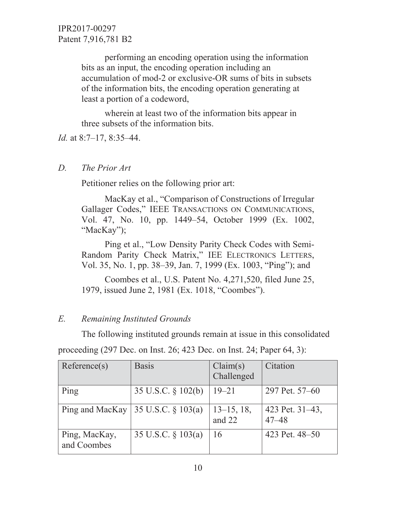> performing an encoding operation using the information bits as an input, the encoding operation including an accumulation of mod-2 or exclusive-OR sums of bits in subsets of the information bits, the encoding operation generating at least a portion of a codeword,

wherein at least two of the information bits appear in three subsets of the information bits.

*Id.* at 8:7–17, 8:35–44.

#### $D_{\cdot}$ The Prior Art

Petitioner relies on the following prior art:

MacKay et al., "Comparison of Constructions of Irregular Gallager Codes," IEEE TRANSACTIONS ON COMMUNICATIONS, Vol. 47, No. 10, pp. 1449–54, October 1999 (Ex. 1002, "MacKay");

Ping et al., "Low Density Parity Check Codes with Semi-Random Parity Check Matrix," IEE ELECTRONICS LETTERS, Vol. 35, No. 1, pp. 38–39, Jan. 7, 1999 (Ex. 1003, "Ping"); and

Coombes et al., U.S. Patent No. 4,271,520, filed June 25, 1979, issued June 2, 1981 (Ex. 1018, "Coombes").

#### $E$ . **Remaining Instituted Grounds**

The following instituted grounds remain at issue in this consolidated

| Reference(s)                 | <b>Basis</b>          | Claim(s)<br>Challenged  | Citation                     |
|------------------------------|-----------------------|-------------------------|------------------------------|
| Ping                         | 35 U.S.C. § 102(b)    | $19 - 21$               | 297 Pet. 57–60               |
| Ping and MacKay              | 35 U.S.C. § 103(a)    | $13-15$ , 18,<br>and 22 | 423 Pet. 31–43,<br>$47 - 48$ |
| Ping, MacKay,<br>and Coombes | 35 U.S.C. $\S$ 103(a) | 16                      | 423 Pet. 48–50               |

proceeding  $(297 \text{ Dec. on Inst. } 26; 423 \text{ Dec. on Inst. } 24; \text{ Paper } 64, 3):$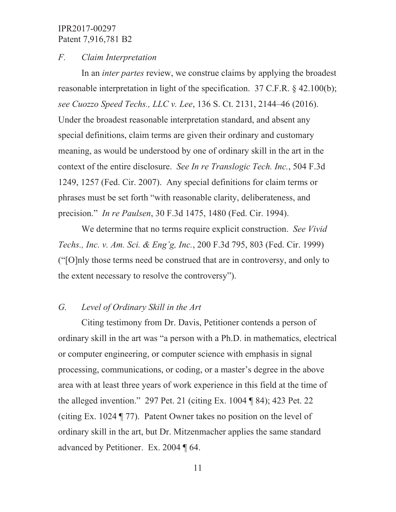### *F. Claim Interpretation*

In an *inter partes* review, we construe claims by applying the broadest reasonable interpretation in light of the specification.  $37$  C.F.R. § 42.100(b); *see Cuozzo Speed Techs., LLC v. Lee, 136 S. Ct. 2131, 2144–46 (2016).* Under the broadest reasonable interpretation standard, and absent any special definitions, claim terms are given their ordinary and customary meaning, as would be understood by one of ordinary skill in the art in the context of the entire disclosure. See In re Translogic Tech. Inc., 504 F.3d 1249, 1257 (Fed. Cir. 2007). Any special definitions for claim terms or phrases must be set forth "with reasonable clarity, deliberateness, and precision." *In re Paulsen*, 30 F.3d 1475, 1480 (Fed. Cir. 1994).

We determine that no terms require explicit construction. See Vivid *Techs., Inc. v. Am. Sci. & Eng'g, Inc., 200 F.3d 795, 803 (Fed. Cir. 1999)* ( $^{\prime\prime}$ [O]nly those terms need be construed that are in controversy, and only to the extent necessary to resolve the controversy").

### *G. Level of Ordinary Skill in the Art*

Citing testimony from Dr. Davis, Petitioner contends a person of ordinary skill in the art was "a person with a Ph.D. in mathematics, electrical or computer engineering, or computer science with emphasis in signal processing, communications, or coding, or a master's degree in the above area with at least three years of work experience in this field at the time of the alleged invention." 297 Pet. 21 (citing Ex. 1004  $\P$  84); 423 Pet. 22 (citing Ex. 1024  $\P$  77). Patent Owner takes no position on the level of ordinary skill in the art, but Dr. Mitzenmacher applies the same standard advanced by Petitioner. Ex. 2004  $\P$  64.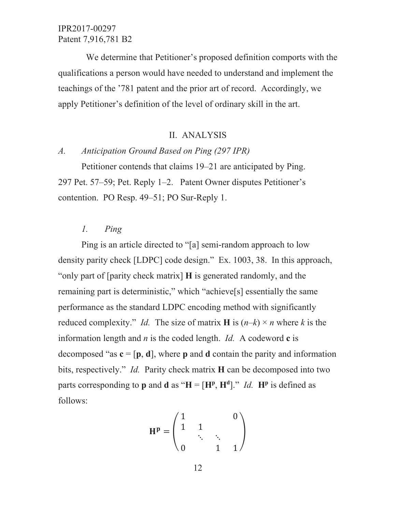We determine that Petitioner's proposed definition comports with the qualifications a person would have needed to understand and implement the teachings of the '781 patent and the prior art of record. Accordingly, we apply Petitioner's definition of the level of ordinary skill in the art.

### **II. ANALYSIS**

#### Anticipation Ground Based on Ping (297 IPR)  $A$ .

Petitioner contends that claims 19–21 are anticipated by Ping. 297 Pet. 57–59; Pet. Reply 1–2. Patent Owner disputes Petitioner's contention. PO Resp. 49-51; PO Sur-Reply 1.

#### $l_{\cdot}$ Ping

Ping is an article directed to "[a] semi-random approach to low density parity check [LDPC] code design." Ex. 1003, 38. In this approach, "only part of [parity check matrix] **H** is generated randomly, and the remaining part is deterministic," which "achieve<sup>[s]</sup> essentially the same performance as the standard LDPC encoding method with significantly reduced complexity." *Id.* The size of matrix **H** is  $(n-k) \times n$  where k is the information length and  $n$  is the coded length. *Id.* A codeword  $\bf{c}$  is decomposed "as  $c = [p, d]$ , where p and d contain the parity and information bits, respectively." *Id.* Parity check matrix **H** can be decomposed into two parts corresponding to **p** and **d** as " $H = [H^p, H^d]$ ." *Id*.  $H^p$  is defined as follows:

$$
\mathbf{H}^{\mathbf{p}} = \begin{pmatrix} 1 & & & 0 \\ 1 & 1 & & \\ & \ddots & \ddots & \\ 0 & & 1 & 1 \end{pmatrix}
$$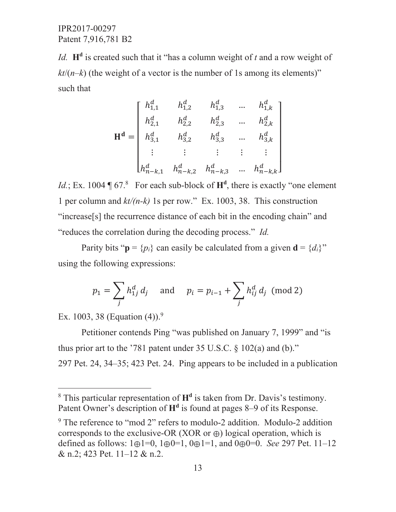*Id.*  $H^d$  is created such that it "has a column weight of t and a row weight of  $kt/(n-k)$  (the weight of a vector is the number of 1s among its elements)<sup>"</sup> such that

$$
\mathbf{H}^{\mathbf{d}} = \begin{bmatrix} h_{1,1}^{d} & h_{1,2}^{d} & h_{1,3}^{d} & \dots & h_{1,k}^{d} \\ h_{2,1}^{d} & h_{2,2}^{d} & h_{2,3}^{d} & \dots & h_{2,k}^{d} \\ h_{3,1}^{d} & h_{3,2}^{d} & h_{3,3}^{d} & \dots & h_{3,k}^{d} \\ \vdots & \vdots & \vdots & \vdots & \vdots \\ h_{n-k,1}^{d} & h_{n-k,2}^{d} & h_{n-k,3}^{d} & \dots & h_{n-k,k}^{d} \end{bmatrix}
$$

*Id.*; Ex. 1004  $\P$  67.<sup>8</sup> For each sub-block of  $H<sup>d</sup>$ , there is exactly "one element 1 per column and  $kt/(n-k)$  1s per row." Ex. 1003, 38. This construction "increase[s] the recurrence distance of each bit in the encoding chain" and "reduces the correlation during the decoding process." *Id.* 

Parity bits " $p = {p_i}$  can easily be calculated from a given  $d = {d_i}^*$ " using the following expressions:

$$
p_1 = \sum_j h_{1j}^d d_j
$$
 and  $p_i = p_{i-1} + \sum_j h_{ij}^d d_j \pmod{2}$ 

Ex. 1003, 38 (Equation  $(4)$ ).<sup>9</sup>

Petitioner contends Ping "was published on January 7, 1999" and "is thus prior art to the '781 patent under 35 U.S.C.  $\S$  102(a) and (b)." 297 Pet. 24, 34–35; 423 Pet. 24. Ping appears to be included in a publication

<sup>&</sup>lt;sup>8</sup> This particular representation of H<sup>d</sup> is taken from Dr. Davis's testimony. Patent Owner's description of H<sup>d</sup> is found at pages 8–9 of its Response.

 $9$  The reference to "mod 2" refers to modulo-2 addition. Modulo-2 addition corresponds to the exclusive-OR (XOR or  $\oplus$ ) logical operation, which is defined as follows:  $1 \oplus 1 = 0$ ,  $1 \oplus 0 = 1$ ,  $0 \oplus 1 = 1$ , and  $0 \oplus 0 = 0$ . *See* 297 Pet. 11–12 & n.2; 423 Pet.  $11-12$  & n.2.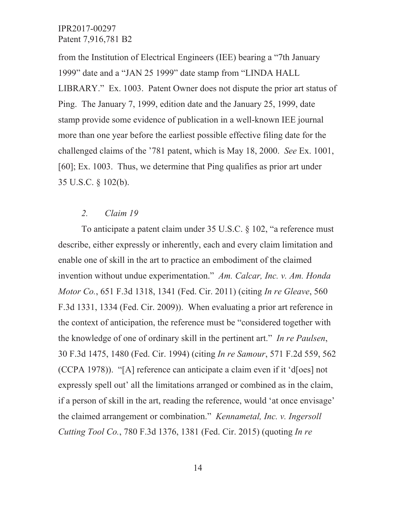from the Institution of Electrical Engineers (IEE) bearing a "7th January 1999" date and a "JAN 25 1999" date stamp from "LINDA HALL LIBRARY." Ex. 1003. Patent Owner does not dispute the prior art status of Ping. The January 7, 1999, edition date and the January 25, 1999, date stamp provide some evidence of publication in a well-known IEE journal more than one year before the earliest possible effective filing date for the challenged claims of the '781 patent, which is May 18, 2000. See Ex. 1001,  $[60]$ ; Ex. 1003. Thus, we determine that Ping qualifies as prior art under 35 U.S.C.  $\S$  102(b).

#### $2.$ Claim 19

To anticipate a patent claim under 35 U.S.C. § 102, "a reference must describe, either expressly or inherently, each and every claim limitation and enable one of skill in the art to practice an embodiment of the claimed invention without undue experimentation." Am. Calcar, Inc. v. Am. Honda Motor Co., 651 F.3d 1318, 1341 (Fed. Cir. 2011) (citing In re Gleave, 560 F.3d 1331, 1334 (Fed. Cir. 2009)). When evaluating a prior art reference in the context of anticipation, the reference must be "considered together with the knowledge of one of ordinary skill in the pertinent art." In re Paulsen, 30 F.3d 1475, 1480 (Fed. Cir. 1994) (citing In re Samour, 571 F.2d 559, 562 (CCPA 1978)). "[A] reference can anticipate a claim even if it 'd[oes] not expressly spell out' all the limitations arranged or combined as in the claim, if a person of skill in the art, reading the reference, would 'at once envisage' the claimed arrangement or combination." *Kennametal, Inc. v. Ingersoll* Cutting Tool Co., 780 F.3d 1376, 1381 (Fed. Cir. 2015) (quoting In re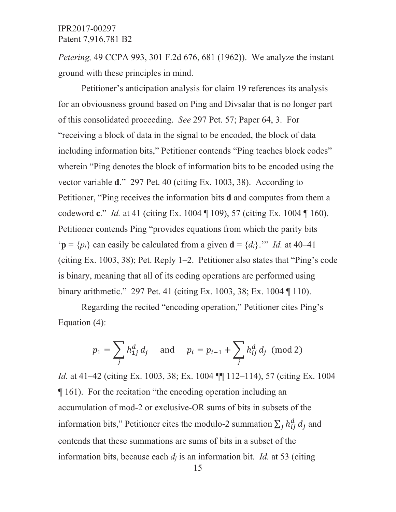*Petering*, 49 CCPA 993, 301 F.2d 676, 681 (1962)). We analyze the instant ground with these principles in mind.

Petitioner's anticipation analysis for claim 19 references its analysis for an obviousness ground based on Ping and Divsalar that is no longer part of this consolidated proceeding. See 297 Pet. 57; Paper 64, 3. For "receiving a block of data in the signal to be encoded, the block of data including information bits," Petitioner contends "Ping teaches block codes" wherein "Ping denotes the block of information bits to be encoded using the vector variable d." 297 Pet. 40 (citing Ex. 1003, 38). According to Petitioner, "Ping receives the information bits **d** and computes from them a codeword c." *Id.* at 41 (citing Ex. 1004  $\parallel$  109), 57 (citing Ex. 1004  $\parallel$  160). Petitioner contends Ping "provides equations from which the parity bits 'p =  $\{p_i\}$  can easily be calculated from a given  $\mathbf{d} = \{d_i\}$ ." Id. at 40–41 (citing Ex. 1003, 38); Pet. Reply 1-2. Petitioner also states that "Ping's code is binary, meaning that all of its coding operations are performed using binary arithmetic." 297 Pet. 41 (citing Ex. 1003, 38; Ex. 1004 ¶ 110).

Regarding the recited "encoding operation," Petitioner cites Ping's Equation  $(4)$ :

$$
p_1 = \sum_j h_{1j}^d d_j
$$
 and  $p_i = p_{i-1} + \sum_j h_{ij}^d d_j \pmod{2}$ 

*Id.* at 41–42 (citing Ex. 1003, 38; Ex. 1004 [9] 112–114), 57 (citing Ex. 1004  $\P$  161). For the recitation "the encoding operation including an accumulation of mod-2 or exclusive-OR sums of bits in subsets of the information bits," Petitioner cites the modulo-2 summation  $\sum_j h_{ij}^d d_j$  and contends that these summations are sums of bits in a subset of the information bits, because each  $d_j$  is an information bit. *Id.* at 53 (citing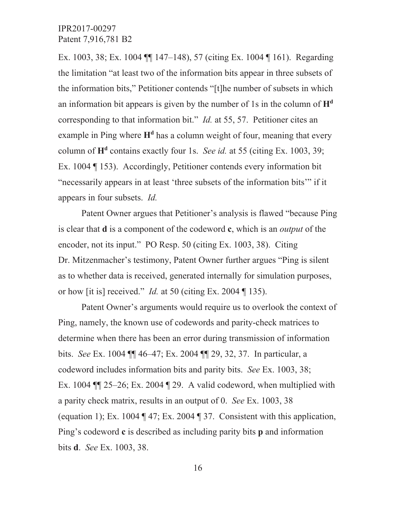Ex. 1003, 38; Ex. 1004  $\P$  147–148), 57 (citing Ex. 1004  $\P$  161). Regarding the limitation "at least two of the information bits appear in three subsets of the information bits," Petitioner contends "[t]he number of subsets in which an information bit appears is given by the number of 1s in the column of  $H<sup>d</sup>$ corresponding to that information bit." *Id.* at 55, 57. Petitioner cites an example in Ping where  $H<sup>d</sup>$  has a column weight of four, meaning that every column of  $H<sup>d</sup>$  contains exactly four 1s. See id. at 55 (citing Ex. 1003, 39; Ex. 1004  $\parallel$  153). Accordingly, Petitioner contends every information bit "necessarily appears in at least 'three subsets of the information bits'" if it appears in four subsets. *Id.* 

Patent Owner argues that Petitioner's analysis is flawed "because Ping" is clear that **d** is a component of the codeword **c**, which is an *output* of the encoder, not its input." PO Resp. 50 (citing Ex. 1003, 38). Citing Dr. Mitzenmacher's testimony, Patent Owner further argues "Ping is silent" as to whether data is received, generated internally for simulation purposes, or how [it is] received." *Id.* at 50 (citing Ex. 2004  $\P$  135).

Patent Owner's arguments would require us to overlook the context of Ping, namely, the known use of codewords and parity-check matrices to determine when there has been an error during transmission of information bits. See Ex. 1004 || 46–47; Ex. 2004 || 29, 32, 37. In particular, a codeword includes information bits and parity bits. See Ex. 1003, 38; Ex. 1004  $\P$  25–26; Ex. 2004  $\P$  29. A valid codeword, when multiplied with a parity check matrix, results in an output of 0. See Ex. 1003, 38 (equation 1); Ex. 1004  $\P$  47; Ex. 2004  $\P$  37. Consistent with this application, Ping's codeword  $\mathbf c$  is described as including parity bits  $\mathbf p$  and information bits **d**. *See* Ex. 1003, 38.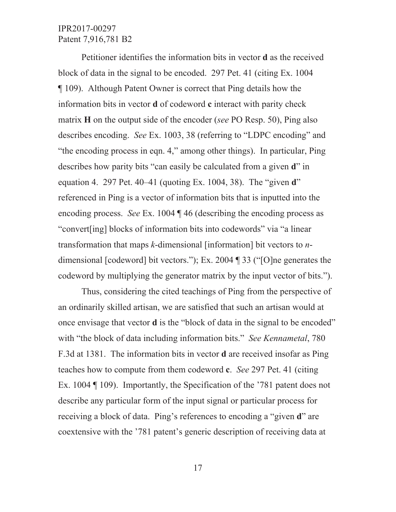Petitioner identifies the information bits in vector **d** as the received block of data in the signal to be encoded. 297 Pet. 41 (citing Ex. 1004) 109). Although Patent Owner is correct that Ping details how the information bits in vector **d** of codeword **c** interact with parity check matrix H on the output side of the encoder (see PO Resp. 50), Ping also describes encoding. See Ex. 1003, 38 (referring to "LDPC encoding" and "the encoding process in eqn. 4," among other things). In particular, Ping describes how parity bits "can easily be calculated from a given d" in equation 4. 297 Pet. 40–41 (quoting Ex. 1004, 38). The "given  $\mathbf{d}$ " referenced in Ping is a vector of information bits that is inputted into the encoding process. See Ex. 1004  $\P$  46 (describing the encoding process as "convert [ing] blocks of information bits into codewords" via "a linear" transformation that maps  $k$ -dimensional [information] bit vectors to  $n$ dimensional [codeword] bit vectors."); Ex. 2004  $\P$  33 ("[O]ne generates the codeword by multiplying the generator matrix by the input vector of bits.").

Thus, considering the cited teachings of Ping from the perspective of an ordinarily skilled artisan, we are satisfied that such an artisan would at once envisage that vector **d** is the "block of data in the signal to be encoded" with "the block of data including information bits." See Kennametal, 780 F.3d at 1381. The information bits in vector **d** are received insofar as Ping teaches how to compute from them codeword c. See 297 Pet. 41 (citing Ex. 1004  $\P$  109). Importantly, the Specification of the '781 patent does not describe any particular form of the input signal or particular process for receiving a block of data. Ping's references to encoding a "given d" are coextensive with the '781 patent's generic description of receiving data at

17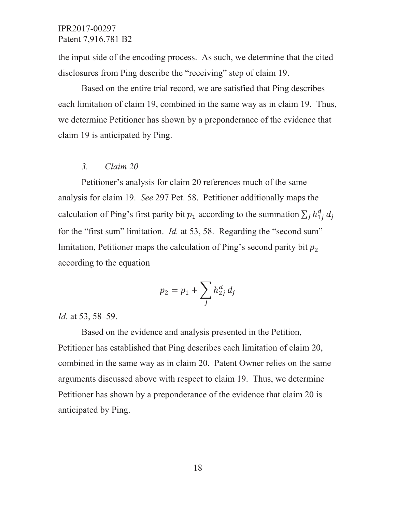the input side of the encoding process. As such, we determine that the cited disclosures from Ping describe the "receiving" step of claim 19.

Based on the entire trial record, we are satisfied that Ping describes each limitation of claim 19, combined in the same way as in claim 19. Thus, we determine Petitioner has shown by a preponderance of the evidence that claim 19 is anticipated by Ping.

#### $3<sub>1</sub>$ Claim 20

Petitioner's analysis for claim 20 references much of the same analysis for claim 19. See 297 Pet. 58. Petitioner additionally maps the calculation of Ping's first parity bit  $p_1$  according to the summation  $\sum_j h_{1j}^d d_j$ for the "first sum" limitation. *Id.* at 53, 58. Regarding the "second sum" limitation, Petitioner maps the calculation of Ping's second parity bit  $p_2$ according to the equation

$$
p_2 = p_1 + \sum_j h_{2j}^d d_j
$$

*Id.* at 53, 58–59.

Based on the evidence and analysis presented in the Petition, Petitioner has established that Ping describes each limitation of claim 20, combined in the same way as in claim 20. Patent Owner relies on the same arguments discussed above with respect to claim 19. Thus, we determine Petitioner has shown by a preponderance of the evidence that claim 20 is anticipated by Ping.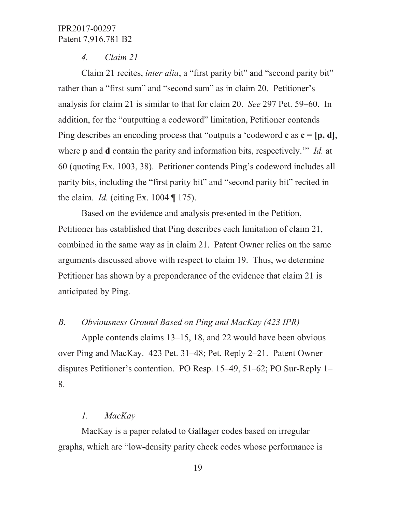#### $\overline{4}$ .  $Claim 21$

Claim 21 recites, *inter alia*, a "first parity bit" and "second parity bit" rather than a "first sum" and "second sum" as in claim 20. Petitioner's analysis for claim 21 is similar to that for claim 20. See 297 Pet. 59–60. In addition, for the "outputting a codeword" limitation, Petitioner contends Ping describes an encoding process that "outputs a 'codeword  $c$  as  $c = [p, d]$ , where  $\bf{p}$  and  $\bf{d}$  contain the parity and information bits, respectively." Id. at 60 (quoting Ex. 1003, 38). Petitioner contends Ping's codeword includes all parity bits, including the "first parity bit" and "second parity bit" recited in the claim. *Id.* (citing Ex. 1004  $\P$  175).

Based on the evidence and analysis presented in the Petition, Petitioner has established that Ping describes each limitation of claim 21, combined in the same way as in claim 21. Patent Owner relies on the same arguments discussed above with respect to claim 19. Thus, we determine Petitioner has shown by a preponderance of the evidence that claim 21 is anticipated by Ping.

#### $B_{\cdot}$ Obviousness Ground Based on Ping and MacKay (423 IPR)

Apple contends claims 13–15, 18, and 22 would have been obvious over Ping and MacKay. 423 Pet. 31–48; Pet. Reply 2–21. Patent Owner disputes Petitioner's contention. PO Resp. 15–49, 51–62; PO Sur-Reply 1– 8.

#### $\iota$ . MacKay

MacKay is a paper related to Gallager codes based on irregular graphs, which are "low-density parity check codes whose performance is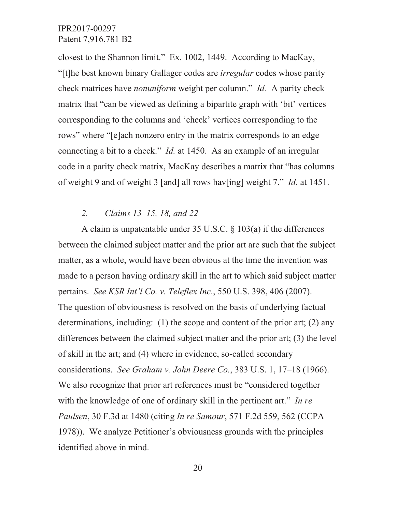closest to the Shannon limit." Ex. 1002, 1449. According to MacKay, "[t]he best known binary Gallager codes are *irregular* codes whose parity check matrices have *nonuniform* weight per column." *Id.* A parity check matrix that "can be viewed as defining a bipartite graph with 'bit' vertices corresponding to the columns and 'check' vertices corresponding to the rows" where "[e]ach nonzero entry in the matrix corresponds to an edge connecting a bit to a check." *Id.* at 1450. As an example of an irregular code in a parity check matrix, MacKay describes a matrix that "has columns" of weight 9 and of weight 3 [and] all rows hav[ing] weight 7." Id. at 1451.

#### $2.$ Claims  $13-15$ , 18, and 22

A claim is unpatentable under 35 U.S.C.  $\frac{103(a)}{a}$  if the differences between the claimed subject matter and the prior art are such that the subject matter, as a whole, would have been obvious at the time the invention was made to a person having ordinary skill in the art to which said subject matter pertains. See KSR Int'l Co. v. Teleflex Inc., 550 U.S. 398, 406 (2007). The question of obviousness is resolved on the basis of underlying factual determinations, including:  $(1)$  the scope and content of the prior art;  $(2)$  any differences between the claimed subject matter and the prior art; (3) the level of skill in the art; and (4) where in evidence, so-called secondary considerations. See Graham v. John Deere Co., 383 U.S. 1, 17-18 (1966). We also recognize that prior art references must be "considered together" with the knowledge of one of ordinary skill in the pertinent art." In re Paulsen, 30 F.3d at 1480 (citing In re Samour, 571 F.2d 559, 562 (CCPA) 1978)). We analyze Petitioner's obviousness grounds with the principles identified above in mind.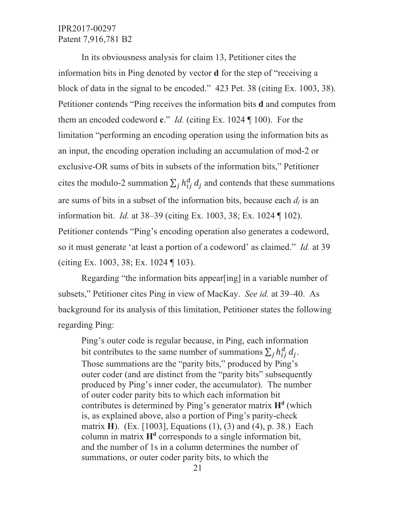In its obviousness analysis for claim 13, Petitioner cites the information bits in Ping denoted by vector **d** for the step of "receiving a block of data in the signal to be encoded." 423 Pet. 38 (citing Ex. 1003, 38). Petitioner contends "Ping receives the information bits **d** and computes from them an encoded codeword  $c$ ." *Id.* (citing Ex. 1024  $\P$  100). For the limitation "performing an encoding operation using the information bits as an input, the encoding operation including an accumulation of mod-2 or exclusive-OR sums of bits in subsets of the information bits," Petitioner cites the modulo-2 summation  $\sum_j h_{ij}^d d_j$  and contends that these summations are sums of bits in a subset of the information bits, because each  $d_i$  is an information bit. *Id.* at 38–39 (citing Ex. 1003, 38; Ex. 1024 ¶ 102). Petitioner contends "Ping's encoding operation also generates a codeword, so it must generate 'at least a portion of a codeword' as claimed." Id. at 39 (citing Ex. 1003, 38; Ex. 1024  $\P$  103).

Regarding "the information bits appearling] in a variable number of subsets," Petitioner cites Ping in view of MacKay. See id. at 39–40. As background for its analysis of this limitation, Petitioner states the following regarding Ping:

Ping's outer code is regular because, in Ping, each information bit contributes to the same number of summations  $\sum_j h_{ij}^d d_j$ . Those summations are the "parity bits," produced by Ping's outer coder (and are distinct from the "parity bits" subsequently produced by Ping's inner coder, the accumulator). The number of outer coder parity bits to which each information bit contributes is determined by Ping's generator matrix  $H<sup>d</sup>$  (which is, as explained above, also a portion of Ping's parity-check matrix H). (Ex. [1003], Equations (1), (3) and (4), p. 38.) Each column in matrix  $H<sup>d</sup>$  corresponds to a single information bit, and the number of 1s in a column determines the number of summations, or outer coder parity bits, to which the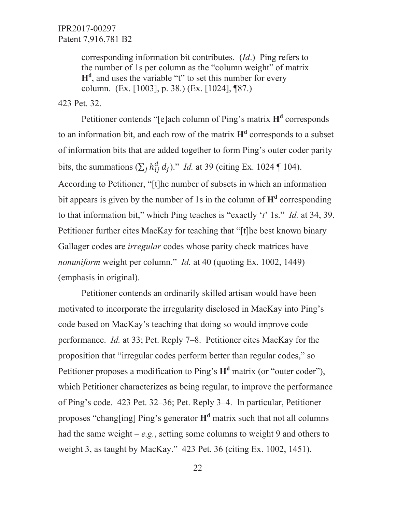> corresponding information bit contributes. (*Id.*) Ping refers to the number of 1s per column as the "column weight" of matrix  $H<sup>d</sup>$ , and uses the variable "t" to set this number for every column. (Ex. [1003], p. 38.) (Ex. [1024], [87.)

423 Pet. 32.

Petitioner contends "[e]ach column of Ping's matrix H<sup>d</sup> corresponds to an information bit, and each row of the matrix  $H<sup>d</sup>$  corresponds to a subset of information bits that are added together to form Ping's outer coder parity bits, the summations  $(\sum_j h_{ij}^d d_j)$ ." *Id.* at 39 (citing Ex. 1024 ¶ 104). According to Petitioner, "[t]he number of subsets in which an information bit appears is given by the number of 1s in the column of  $H<sup>d</sup>$  corresponding to that information bit," which Ping teaches is "exactly 't' 1s." *Id.* at 34, 39. Petitioner further cites MacKay for teaching that "[t]he best known binary Gallager codes are *irregular* codes whose parity check matrices have nonuniform weight per column." Id. at 40 (quoting Ex. 1002, 1449) (emphasis in original).

Petitioner contends an ordinarily skilled artisan would have been motivated to incorporate the irregularity disclosed in MacKay into Ping's code based on MacKay's teaching that doing so would improve code performance. *Id.* at 33; Pet. Reply 7–8. Petitioner cites MacKay for the proposition that "irregular codes perform better than regular codes," so Petitioner proposes a modification to Ping's  $H<sup>d</sup>$  matrix (or "outer coder"), which Petitioner characterizes as being regular, to improve the performance of Ping's code. 423 Pet. 32–36; Pet. Reply 3–4. In particular, Petitioner proposes "changling] Ping's generator  $H<sup>d</sup>$  matrix such that not all columns had the same weight – e.g., setting some columns to weight 9 and others to weight 3, as taught by MacKay." 423 Pet. 36 (citing Ex. 1002, 1451).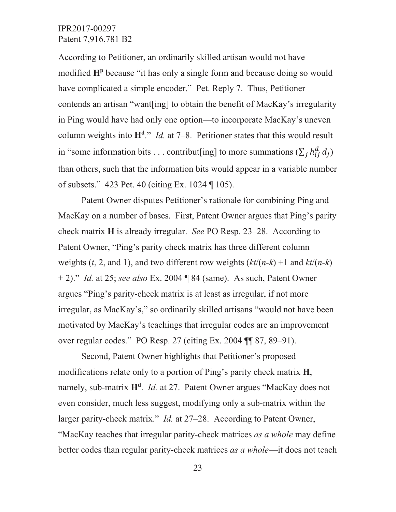According to Petitioner, an ordinarily skilled artisan would not have modified H<sup>p</sup> because "it has only a single form and because doing so would have complicated a simple encoder." Pet. Reply 7. Thus, Petitioner contends an artisan "want[ing] to obtain the benefit of MacKay's irregularity in Ping would have had only one option—to incorporate MacKay's uneven column weights into  $H<sup>d</sup>$ ." *Id.* at 7–8. Petitioner states that this would result in "some information bits . . . contribut[ing] to more summations  $(\sum_j h_{ij}^d d_j)$ than others, such that the information bits would appear in a variable number of subsets." 423 Pet. 40 (citing Ex. 1024 ¶ 105).

Patent Owner disputes Petitioner's rationale for combining Ping and MacKay on a number of bases. First, Patent Owner argues that Ping's parity check matrix H is already irregular. See PO Resp. 23–28. According to Patent Owner, "Ping's parity check matrix has three different column weights (t, 2, and 1), and two different row weights  $(kt/(n-k)+1$  and  $kt/(n-k)$  $+$  2)." *Id.* at 25; see also Ex. 2004  $\sqrt{ }$  84 (same). As such, Patent Owner argues "Ping's parity-check matrix is at least as irregular, if not more irregular, as MacKay's," so ordinarily skilled artisans "would not have been motivated by MacKay's teachings that irregular codes are an improvement over regular codes." PO Resp. 27 (citing Ex. 2004 ¶ 87, 89–91).

Second, Patent Owner highlights that Petitioner's proposed modifications relate only to a portion of Ping's parity check matrix H, namely, sub-matrix  $H^d$ . *Id.* at 27. Patent Owner argues "MacKay does not even consider, much less suggest, modifying only a sub-matrix within the larger parity-check matrix." *Id.* at 27–28. According to Patent Owner, "MacKay teaches that irregular parity-check matrices as a whole may define better codes than regular parity-check matrices as a whole—it does not teach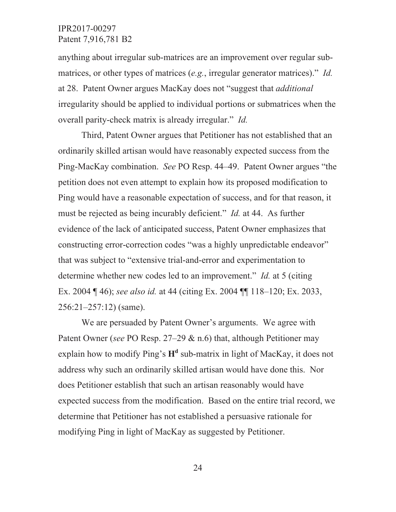anything about irregular sub-matrices are an improvement over regular submatrices, or other types of matrices  $(e.g.,$  irregular generator matrices)." *Id.* at 28. Patent Owner argues MacKay does not "suggest that *additional* irregularity should be applied to individual portions or submatrices when the overall parity-check matrix is already irregular." Id.

Third, Patent Owner argues that Petitioner has not established that an ordinarily skilled artisan would have reasonably expected success from the Ping-MacKay combination. See PO Resp. 44–49. Patent Owner argues "the petition does not even attempt to explain how its proposed modification to Ping would have a reasonable expectation of success, and for that reason, it must be rejected as being incurably deficient." *Id.* at 44. As further evidence of the lack of anticipated success, Patent Owner emphasizes that constructing error-correction codes "was a highly unpredictable endeavor" that was subject to "extensive trial-and-error and experimentation to determine whether new codes led to an improvement." *Id.* at 5 (citing Ex. 2004 ¶ 46); see also id. at 44 (citing Ex. 2004 ¶ 118–120; Ex. 2033,  $256:21-257:12$  (same).

We are persuaded by Patent Owner's arguments. We agree with Patent Owner (see PO Resp. 27–29  $\&$  n.6) that, although Petitioner may explain how to modify Ping's  $H<sup>d</sup>$  sub-matrix in light of MacKay, it does not address why such an ordinarily skilled artisan would have done this. Nor does Petitioner establish that such an artisan reasonably would have expected success from the modification. Based on the entire trial record, we determine that Petitioner has not established a persuasive rationale for modifying Ping in light of MacKay as suggested by Petitioner.

24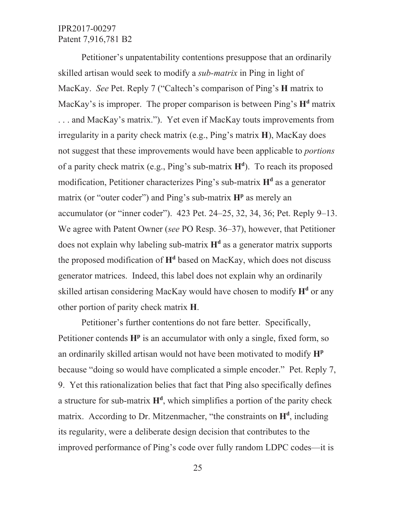Petitioner's unpatentability contentions presuppose that an ordinarily skilled artisan would seek to modify a *sub-matrix* in Ping in light of MacKay. See Pet. Reply 7 ("Caltech's comparison of Ping's H matrix to MacKay's is improper. The proper comparison is between Ping's H<sup>d</sup> matrix ... and MacKay's matrix."). Yet even if MacKay touts improvements from irregularity in a parity check matrix (e.g., Ping's matrix  $H$ ), MacKay does not suggest that these improvements would have been applicable to *portions* of a parity check matrix (e.g., Ping's sub-matrix  $H<sup>d</sup>$ ). To reach its proposed modification, Petitioner characterizes Ping's sub-matrix H<sup>d</sup> as a generator matrix (or "outer coder") and Ping's sub-matrix  $H<sup>p</sup>$  as merely an accumulator (or "inner coder"). 423 Pet. 24–25, 32, 34, 36; Pet. Reply 9–13. We agree with Patent Owner (see PO Resp. 36–37), however, that Petitioner does not explain why labeling sub-matrix  $H<sup>d</sup>$  as a generator matrix supports the proposed modification of  $H<sup>d</sup>$  based on MacKay, which does not discuss generator matrices. Indeed, this label does not explain why an ordinarily skilled artisan considering MacKay would have chosen to modify H<sup>d</sup> or any other portion of parity check matrix H.

Petitioner's further contentions do not fare better. Specifically, Petitioner contends  $H<sup>p</sup>$  is an accumulator with only a single, fixed form, so an ordinarily skilled artisan would not have been motivated to modify H<sup>p</sup> because "doing so would have complicated a simple encoder." Pet. Reply 7, 9. Yet this rationalization belies that fact that Ping also specifically defines a structure for sub-matrix  $H^d$ , which simplifies a portion of the parity check matrix. According to Dr. Mitzenmacher, "the constraints on  $H<sup>d</sup>$ , including its regularity, were a deliberate design decision that contributes to the improved performance of Ping's code over fully random LDPC codes—it is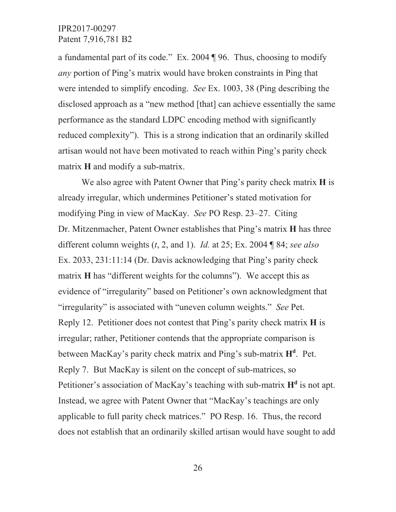a fundamental part of its code." Ex. 2004  $\P$  96. Thus, choosing to modify *any* portion of Ping's matrix would have broken constraints in Ping that were intended to simplify encoding. See Ex. 1003, 38 (Ping describing the disclosed approach as a "new method [that] can achieve essentially the same performance as the standard LDPC encoding method with significantly reduced complexity"). This is a strong indication that an ordinarily skilled artisan would not have been motivated to reach within Ping's parity check matrix H and modify a sub-matrix.

We also agree with Patent Owner that Ping's parity check matrix H is already irregular, which undermines Petitioner's stated motivation for modifying Ping in view of MacKay. See PO Resp. 23–27. Citing Dr. Mitzenmacher, Patent Owner establishes that Ping's matrix H has three different column weights  $(t, 2,$  and 1). *Id.* at 25; Ex. 2004  $\sqrt{84}$ ; see also Ex. 2033, 231:11:14 (Dr. Davis acknowledging that Ping's parity check matrix H has "different weights for the columns"). We accept this as evidence of "irregularity" based on Petitioner's own acknowledgment that "irregularity" is associated with "uneven column weights." See Pet. Reply 12. Petitioner does not contest that Ping's parity check matrix H is irregular; rather, Petitioner contends that the appropriate comparison is between MacKay's parity check matrix and Ping's sub-matrix  $H<sup>d</sup>$ . Pet. Reply 7. But MacKay is silent on the concept of sub-matrices, so Petitioner's association of MacKay's teaching with sub-matrix H<sup>d</sup> is not apt. Instead, we agree with Patent Owner that "MacKay's teachings are only applicable to full parity check matrices." PO Resp. 16. Thus, the record does not establish that an ordinarily skilled artisan would have sought to add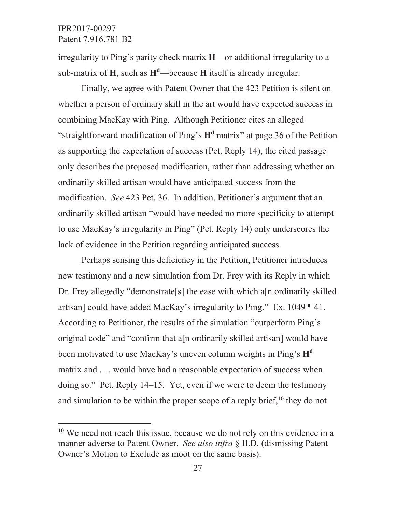irregularity to Ping's parity check matrix H—or additional irregularity to a sub-matrix of H, such as  $H^d$ —because H itself is already irregular.

Finally, we agree with Patent Owner that the 423 Petition is silent on whether a person of ordinary skill in the art would have expected success in combining MacKay with Ping. Although Petitioner cites an alleged "straightforward modification of Ping's  $H<sup>d</sup>$  matrix" at page 36 of the Petition as supporting the expectation of success (Pet. Reply 14), the cited passage only describes the proposed modification, rather than addressing whether an ordinarily skilled artisan would have anticipated success from the modification. See 423 Pet. 36. In addition, Petitioner's argument that an ordinarily skilled artisan "would have needed no more specificity to attempt to use MacKay's irregularity in Ping" (Pet. Reply 14) only underscores the lack of evidence in the Petition regarding anticipated success.

Perhaps sensing this deficiency in the Petition, Petitioner introduces new testimony and a new simulation from Dr. Frey with its Reply in which Dr. Frey allegedly "demonstrate<sup>[s]</sup> the ease with which a<sup>[n ordinarily skilled]</sup> artisan] could have added MacKay's irregularity to Ping." Ex. 1049 [41. According to Petitioner, the results of the simulation "outperform Ping's original code" and "confirm that a<sup>[n ordinarily skilled artisan]</sup> would have been motivated to use MacKay's uneven column weights in Ping's H<sup>d</sup> matrix and . . . would have had a reasonable expectation of success when doing so." Pet. Reply 14–15. Yet, even if we were to deem the testimony and simulation to be within the proper scope of a reply brief,<sup>10</sup> they do not

<sup>&</sup>lt;sup>10</sup> We need not reach this issue, because we do not rely on this evidence in a manner adverse to Patent Owner. See also infra § II.D. (dismissing Patent Owner's Motion to Exclude as moot on the same basis).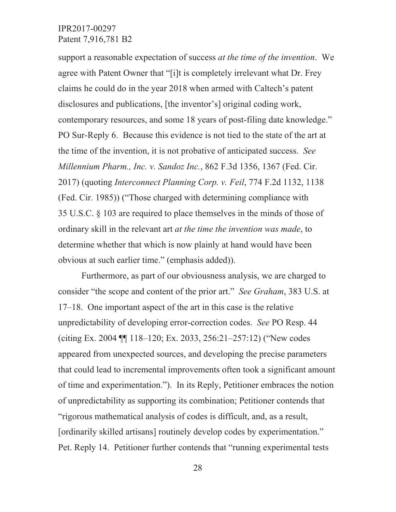support a reasonable expectation of success *at the time of the invention*. We agree with Patent Owner that "[i]t is completely irrelevant what Dr. Frey claims he could do in the year 2018 when armed with Caltech's patent disclosures and publications, [the inventor's] original coding work, contemporary resources, and some 18 years of post-filing date knowledge." PO Sur-Reply 6. Because this evidence is not tied to the state of the art at the time of the invention, it is not probative of anticipated success. See *Millennium Pharm., Inc. v. Sandoz Inc.*, 862 F.3d 1356, 1367 (Fed. Cir. 2017) (quoting *Interconnect Planning Corp. v. Feil*, 774 F.2d 1132, 1138 (Fed. Cir. 1985)) ("Those charged with determining compliance with 35 U.S.C.  $\S$  103 are required to place themselves in the minds of those of ordinary skill in the relevant art *at the time the invention was made*, to determine whether that which is now plainly at hand would have been obvious at such earlier time." (emphasis added)).

Furthermore, as part of our obviousness analysis, we are charged to consider "the scope and content of the prior art." See Graham, 383 U.S. at  $17-18$ . One important aspect of the art in this case is the relative unpredictability of developing error-correction codes. See PO Resp. 44 (citing Ex. 2004  $\P$  118–120; Ex. 2033, 256:21–257:12) ("New codes" appeared from unexpected sources, and developing the precise parameters that could lead to incremental improvements often took a significant amount of time and experimentation."). In its Reply, Petitioner embraces the notion of unpredictability as supporting its combination; Petitioner contends that "rigorous mathematical analysis of codes is difficult, and, as a result, [ordinarily skilled artisans] routinely develop codes by experimentation." Pet. Reply 14. Petitioner further contends that "running experimental tests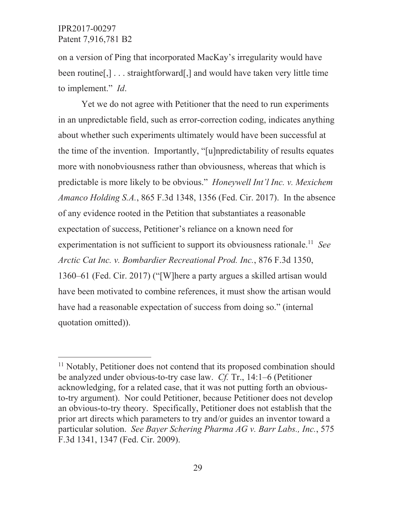on a version of Ping that incorporated MacKay's irregularity would have been routine [,]... straightforward [,] and would have taken very little time to implement." *Id.* 

Yet we do not agree with Petitioner that the need to run experiments in an unpredictable field, such as error-correction coding, indicates anything about whether such experiments ultimately would have been successful at the time of the invention. Importantly, "[u]npredictability of results equates more with nonobviousness rather than obviousness, whereas that which is predictable is more likely to be obvious." *Honeywell Int'l Inc. v. Mexichem* Amanco Holding S.A., 865 F.3d 1348, 1356 (Fed. Cir. 2017). In the absence of any evidence rooted in the Petition that substantiates a reasonable expectation of success, Petitioner's reliance on a known need for experimentation is not sufficient to support its obviousness rationale.<sup>11</sup> See Arctic Cat Inc. v. Bombardier Recreational Prod. Inc., 876 F.3d 1350, 1360–61 (Fed. Cir. 2017) ("[W] here a party argues a skilled artisan would have been motivated to combine references, it must show the artisan would have had a reasonable expectation of success from doing so." (internal quotation omitted)).

<sup>&</sup>lt;sup>11</sup> Notably, Petitioner does not contend that its proposed combination should be analyzed under obvious-to-try case law.  $C_f$ . Tr., 14:1–6 (Petitioner acknowledging, for a related case, that it was not putting forth an obviousto-try argument). Nor could Petitioner, because Petitioner does not develop an obvious-to-try theory. Specifically, Petitioner does not establish that the prior art directs which parameters to try and/or guides an inventor toward a particular solution. See Bayer Schering Pharma AG v. Barr Labs., Inc., 575 F.3d 1341, 1347 (Fed. Cir. 2009).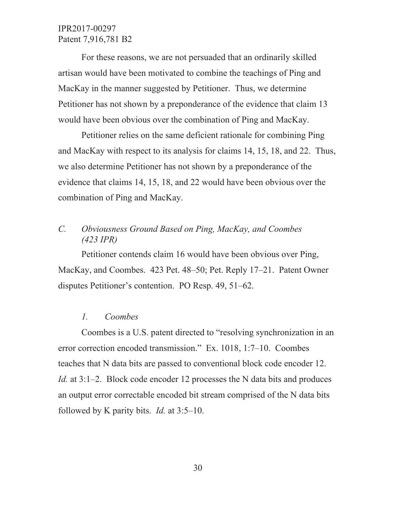For these reasons, we are not persuaded that an ordinarily skilled artisan would have been motivated to combine the teachings of Ping and MacKay in the manner suggested by Petitioner. Thus, we determine Petitioner has not shown by a preponderance of the evidence that claim 13 would have been obvious over the combination of Ping and MacKay.

Petitioner relies on the same deficient rationale for combining Ping and MacKay with respect to its analysis for claims  $14$ ,  $15$ ,  $18$ , and  $22$ . Thus, we also determine Petitioner has not shown by a preponderance of the evidence that claims 14, 15, 18, and 22 would have been obvious over the combination of Ping and MacKay.

# *C. Obviousness Ground Based on Ping, MacKay, and Coombes (423 IPR)*

Petitioner contends claim 16 would have been obvious over Ping, MacKay, and Coombes. 423 Pet. 48–50; Pet. Reply 17–21. Patent Owner disputes Petitioner's contention. PO Resp.  $49, 51-62$ .

### *1. Coombes*

Coombes is a U.S. patent directed to "resolving synchronization in an error correction encoded transmission." Ex. 1018, 1:7-10. Coombes teaches that N data bits are passed to conventional block code encoder 12. *Id.* at 3:1–2. Block code encoder 12 processes the N data bits and produces an output error correctable encoded bit stream comprised of the N data bits followed by K parity bits. *Id.* at  $3:5-10$ .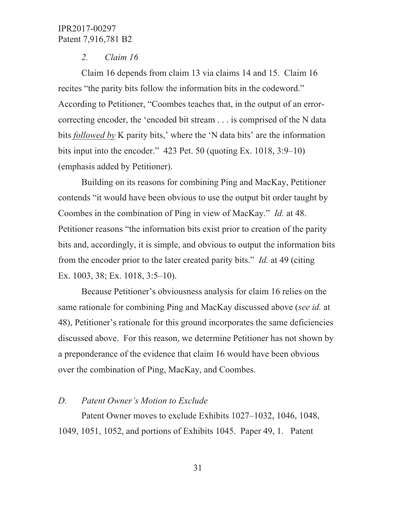#### $2.$  $Claim 16$

Claim 16 depends from claim 13 via claims 14 and 15. Claim 16 recites "the parity bits follow the information bits in the codeword." According to Petitioner, "Coombes teaches that, in the output of an errorcorrecting encoder, the 'encoded bit stream . . . is comprised of the N data bits *followed by* K parity bits,' where the 'N data bits' are the information bits input into the encoder."  $423$  Pet. 50 (quoting Ex. 1018, 3:9–10) (emphasis added by Petitioner).

Building on its reasons for combining Ping and MacKay, Petitioner contends "it would have been obvious to use the output bit order taught by Coombes in the combination of Ping in view of MacKay." *Id.* at 48. Petitioner reasons "the information bits exist prior to creation of the parity bits and, accordingly, it is simple, and obvious to output the information bits from the encoder prior to the later created parity bits." *Id.* at 49 (citing Ex. 1003, 38; Ex. 1018,  $3:5-10$ ).

Because Petitioner's obviousness analysis for claim 16 relies on the same rationale for combining Ping and MacKay discussed above (see id. at 48), Petitioner's rationale for this ground incorporates the same deficiencies discussed above. For this reason, we determine Petitioner has not shown by a preponderance of the evidence that claim 16 would have been obvious over the combination of Ping, MacKay, and Coombes.

#### $D_{\cdot}$ **Patent Owner's Motion to Exclude**

Patent Owner moves to exclude Exhibits 1027–1032, 1046, 1048, 1049, 1051, 1052, and portions of Exhibits 1045. Paper 49, 1. Patent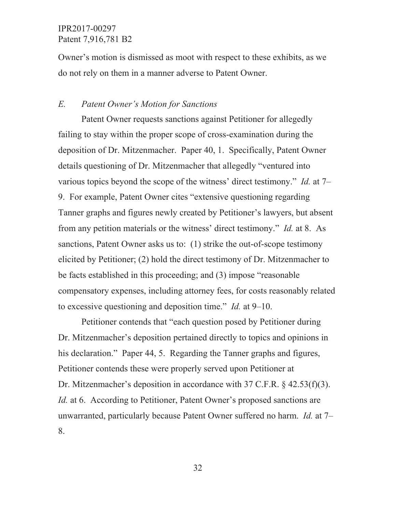Owner's motion is dismissed as moot with respect to these exhibits, as we do not rely on them in a manner adverse to Patent Owner.

#### $E_{\cdot}$ **Patent Owner's Motion for Sanctions**

Patent Owner requests sanctions against Petitioner for allegedly failing to stay within the proper scope of cross-examination during the deposition of Dr. Mitzenmacher. Paper 40, 1. Specifically, Patent Owner details questioning of Dr. Mitzenmacher that allegedly "ventured into various topics beyond the scope of the witness' direct testimony." *Id.* at  $7-$ 9. For example, Patent Owner cites "extensive questioning regarding Tanner graphs and figures newly created by Petitioner's lawyers, but absent from any petition materials or the witness' direct testimony." *Id.* at 8. As sanctions, Patent Owner asks us to: (1) strike the out-of-scope testimony elicited by Petitioner; (2) hold the direct testimony of Dr. Mitzenmacher to be facts established in this proceeding; and (3) impose "reasonable" compensatory expenses, including attorney fees, for costs reasonably related to excessive questioning and deposition time." *Id.* at  $9-10$ .

Petitioner contends that "each question posed by Petitioner during Dr. Mitzenmacher's deposition pertained directly to topics and opinions in his declaration." Paper 44, 5. Regarding the Tanner graphs and figures, Petitioner contends these were properly served upon Petitioner at Dr. Mitzenmacher's deposition in accordance with 37 C.F.R.  $\frac{24.53(f)(3)}{20.53(f)}$ . *Id.* at 6. According to Petitioner, Patent Owner's proposed sanctions are unwarranted, particularly because Patent Owner suffered no harm. *Id.* at 7– 8.

32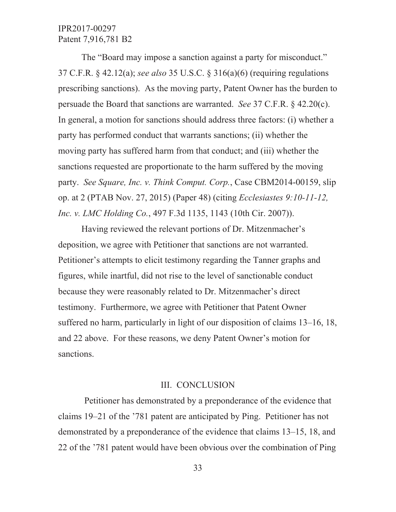The "Board may impose a sanction against a party for misconduct." 37 C.F.R.  $\&$  42.12(a); see also 35 U.S.C.  $\&$  316(a)(6) (requiring regulations prescribing sanctions). As the moving party, Patent Owner has the burden to persuade the Board that sanctions are warranted. See 37 C.F.R.  $\S$  42.20(c). In general, a motion for sanctions should address three factors: (i) whether a party has performed conduct that warrants sanctions; (ii) whether the moving party has suffered harm from that conduct; and (iii) whether the sanctions requested are proportionate to the harm suffered by the moving party. See Square, Inc. v. Think Comput. Corp., Case CBM2014-00159, slip op. at 2 (PTAB Nov. 27, 2015) (Paper 48) (citing *Ecclesiastes 9:10-11-12*, Inc. v. LMC Holding Co., 497 F.3d 1135, 1143 (10th Cir. 2007)).

Having reviewed the relevant portions of Dr. Mitzenmacher's deposition, we agree with Petitioner that sanctions are not warranted. Petitioner's attempts to elicit testimony regarding the Tanner graphs and figures, while inartful, did not rise to the level of sanctionable conduct because they were reasonably related to Dr. Mitzenmacher's direct testimony. Furthermore, we agree with Petitioner that Patent Owner suffered no harm, particularly in light of our disposition of claims 13–16, 18, and 22 above. For these reasons, we deny Patent Owner's motion for sanctions.

### **III. CONCLUSION**

Petitioner has demonstrated by a preponderance of the evidence that claims 19–21 of the '781 patent are anticipated by Ping. Petitioner has not demonstrated by a preponderance of the evidence that claims 13–15, 18, and 22 of the '781 patent would have been obvious over the combination of Ping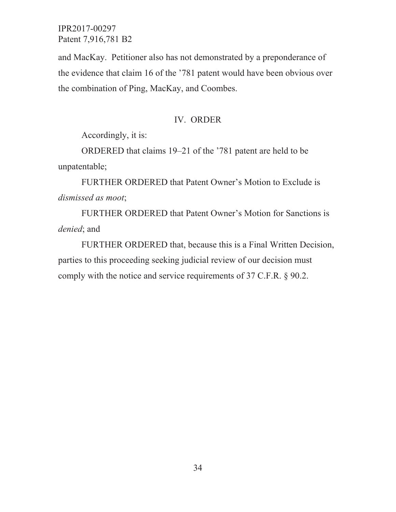and MacKay. Petitioner also has not demonstrated by a preponderance of the evidence that claim 16 of the '781 patent would have been obvious over the combination of Ping, MacKay, and Coombes.

### IV. ORDER

Accordingly, it is:

ORDERED that claims 19–21 of the '781 patent are held to be unpatentable;

FURTHER ORDERED that Patent Owner's Motion to Exclude is dismissed as moot;

FURTHER ORDERED that Patent Owner's Motion for Sanctions is denied; and

FURTHER ORDERED that, because this is a Final Written Decision, parties to this proceeding seeking judicial review of our decision must comply with the notice and service requirements of 37 C.F.R. § 90.2.